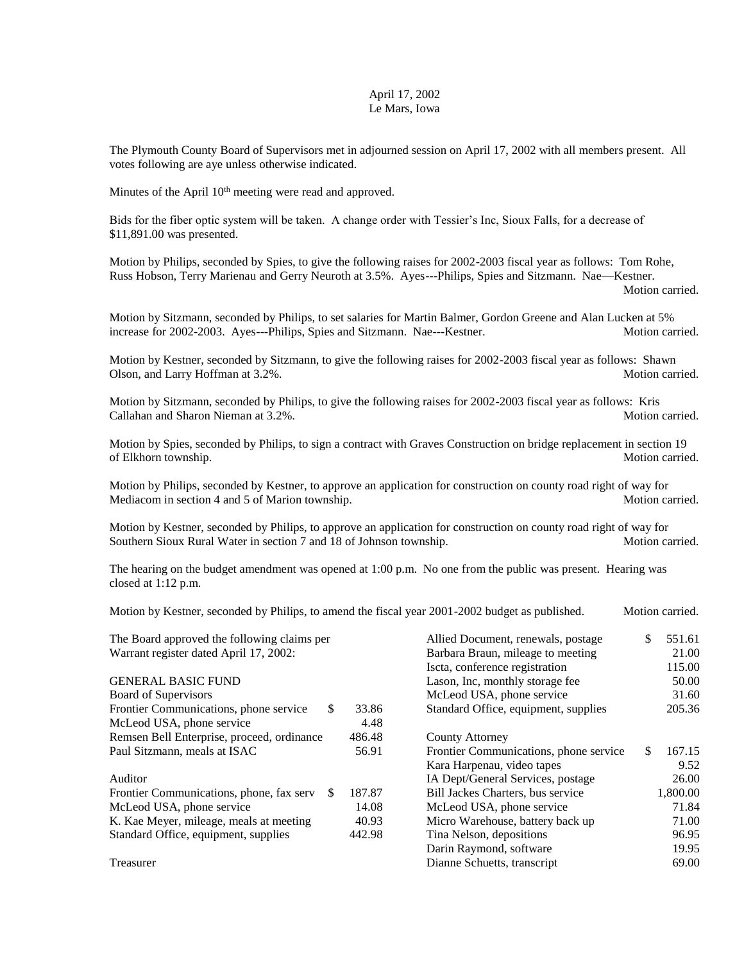## April 17, 2002 Le Mars, Iowa

The Plymouth County Board of Supervisors met in adjourned session on April 17, 2002 with all members present. All votes following are aye unless otherwise indicated.

Minutes of the April 10<sup>th</sup> meeting were read and approved.

Bids for the fiber optic system will be taken. A change order with Tessier's Inc, Sioux Falls, for a decrease of \$11,891.00 was presented.

Motion by Philips, seconded by Spies, to give the following raises for 2002-2003 fiscal year as follows: Tom Rohe, Russ Hobson, Terry Marienau and Gerry Neuroth at 3.5%. Ayes---Philips, Spies and Sitzmann. Nae—Kestner.

Motion carried.

Motion by Sitzmann, seconded by Philips, to set salaries for Martin Balmer, Gordon Greene and Alan Lucken at 5% increase for 2002-2003. Ayes---Philips, Spies and Sitzmann. Nae---Kestner. Motion carried.

Motion by Kestner, seconded by Sitzmann, to give the following raises for 2002-2003 fiscal year as follows: Shawn Olson, and Larry Hoffman at 3.2%. Motion carried.

Motion by Sitzmann, seconded by Philips, to give the following raises for 2002-2003 fiscal year as follows: Kris Callahan and Sharon Nieman at 3.2%. Motion carried.

Motion by Spies, seconded by Philips, to sign a contract with Graves Construction on bridge replacement in section 19 of Elkhorn township. Motion carried.

Motion by Philips, seconded by Kestner, to approve an application for construction on county road right of way for Mediacom in section 4 and 5 of Marion township. Motion carried. Motion carried.

Motion by Kestner, seconded by Philips, to approve an application for construction on county road right of way for Southern Sioux Rural Water in section 7 and 18 of Johnson township. Motion carried.

The hearing on the budget amendment was opened at 1:00 p.m. No one from the public was present. Hearing was closed at 1:12 p.m.

Motion by Kestner, seconded by Philips, to amend the fiscal year 2001-2002 budget as published. Motion carried.

| The Board approved the following claims per    |        | Allied Document, renewals, postage     | \$  | 551.61   |
|------------------------------------------------|--------|----------------------------------------|-----|----------|
| Warrant register dated April 17, 2002:         |        | Barbara Braun, mileage to meeting      |     | 21.00    |
|                                                |        | Iscta, conference registration         |     | 115.00   |
| <b>GENERAL BASIC FUND</b>                      |        | Lason, Inc, monthly storage fee        |     | 50.00    |
| Board of Supervisors                           |        | McLeod USA, phone service              |     | 31.60    |
| Frontier Communications, phone service<br>\$.  | 33.86  | Standard Office, equipment, supplies   |     | 205.36   |
| McLeod USA, phone service                      | 4.48   |                                        |     |          |
| Remsen Bell Enterprise, proceed, ordinance     | 486.48 | <b>County Attorney</b>                 |     |          |
| Paul Sitzmann, meals at ISAC                   | 56.91  | Frontier Communications, phone service | \$. | 167.15   |
|                                                |        | Kara Harpenau, video tapes             |     | 9.52     |
| Auditor                                        |        | IA Dept/General Services, postage      |     | 26.00    |
| Frontier Communications, phone, fax serv<br>S. | 187.87 | Bill Jackes Charters, bus service      |     | 1,800.00 |
| McLeod USA, phone service                      | 14.08  | McLeod USA, phone service              |     | 71.84    |
| K. Kae Meyer, mileage, meals at meeting        | 40.93  | Micro Warehouse, battery back up       |     | 71.00    |
| Standard Office, equipment, supplies           | 442.98 | Tina Nelson, depositions               |     | 96.95    |
|                                                |        | Darin Raymond, software                |     | 19.95    |
| Treasurer                                      |        | Dianne Schuetts, transcript            |     | 69.00    |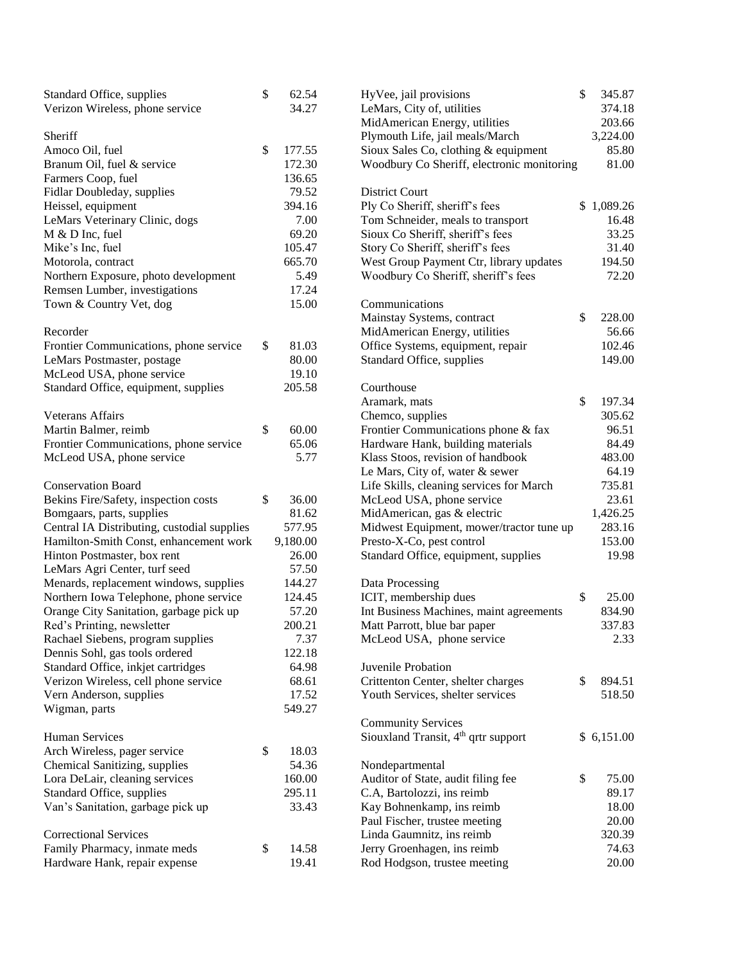| Standard Office, supplies                   | \$<br>62.54  | HyVee, jail provisions                                                       | \$<br>345.87 |
|---------------------------------------------|--------------|------------------------------------------------------------------------------|--------------|
| Verizon Wireless, phone service             | 34.27        | LeMars, City of, utilities                                                   | 374.18       |
|                                             |              | MidAmerican Energy, utilities                                                | 203.66       |
| Sheriff                                     |              | Plymouth Life, jail meals/March                                              | 3,224.00     |
| Amoco Oil, fuel                             | \$<br>177.55 | Sioux Sales Co, clothing & equipment                                         | 85.80        |
| Branum Oil, fuel & service                  | 172.30       | Woodbury Co Sheriff, electronic monitoring                                   | 81.00        |
| Farmers Coop, fuel                          | 136.65       |                                                                              |              |
| Fidlar Doubleday, supplies                  | 79.52        | <b>District Court</b>                                                        |              |
| Heissel, equipment                          | 394.16       | Ply Co Sheriff, sheriff's fees                                               | \$1,089.26   |
| LeMars Veterinary Clinic, dogs              | 7.00         | Tom Schneider, meals to transport                                            | 16.48        |
| M & D Inc, fuel                             | 69.20        | Sioux Co Sheriff, sheriff's fees                                             | 33.25        |
| Mike's Inc, fuel                            | 105.47       | Story Co Sheriff, sheriff's fees                                             | 31.40        |
| Motorola, contract                          | 665.70       | West Group Payment Ctr, library updates                                      | 194.50       |
|                                             | 5.49         | Woodbury Co Sheriff, sheriff's fees                                          | 72.20        |
| Northern Exposure, photo development        |              |                                                                              |              |
| Remsen Lumber, investigations               | 17.24        |                                                                              |              |
| Town & Country Vet, dog                     | 15.00        | Communications                                                               |              |
|                                             |              | Mainstay Systems, contract                                                   | \$<br>228.00 |
| Recorder                                    |              | MidAmerican Energy, utilities                                                | 56.66        |
| Frontier Communications, phone service      | \$<br>81.03  | Office Systems, equipment, repair                                            | 102.46       |
| LeMars Postmaster, postage                  | 80.00        | Standard Office, supplies                                                    | 149.00       |
| McLeod USA, phone service                   | 19.10        |                                                                              |              |
| Standard Office, equipment, supplies        | 205.58       | Courthouse                                                                   |              |
|                                             |              | Aramark, mats                                                                | \$<br>197.34 |
| <b>Veterans Affairs</b>                     |              | Chemco, supplies                                                             | 305.62       |
| Martin Balmer, reimb                        | \$<br>60.00  | Frontier Communications phone & fax                                          | 96.51        |
| Frontier Communications, phone service      | 65.06        | Hardware Hank, building materials                                            | 84.49        |
| McLeod USA, phone service                   | 5.77         | Klass Stoos, revision of handbook                                            | 483.00       |
|                                             |              | Le Mars, City of, water & sewer                                              | 64.19        |
| <b>Conservation Board</b>                   |              | Life Skills, cleaning services for March                                     | 735.81       |
| Bekins Fire/Safety, inspection costs        | \$<br>36.00  | McLeod USA, phone service                                                    | 23.61        |
| Bomgaars, parts, supplies                   | 81.62        | MidAmerican, gas & electric                                                  | 1,426.25     |
| Central IA Distributing, custodial supplies | 577.95       | Midwest Equipment, mower/tractor tune up                                     | 283.16       |
| Hamilton-Smith Const, enhancement work      | 9,180.00     | Presto-X-Co, pest control                                                    | 153.00       |
| Hinton Postmaster, box rent                 | 26.00        | Standard Office, equipment, supplies                                         | 19.98        |
| LeMars Agri Center, turf seed               | 57.50        |                                                                              |              |
| Menards, replacement windows, supplies      | 144.27       | Data Processing                                                              |              |
| Northern Iowa Telephone, phone service      | 124.45       | ICIT, membership dues                                                        | \$<br>25.00  |
| Orange City Sanitation, garbage pick up     | 57.20        | Int Business Machines, maint agreements                                      | 834.90       |
| Red's Printing, newsletter                  | 200.21       | Matt Parrott, blue bar paper                                                 | 337.83       |
| Rachael Siebens, program supplies           | 7.37         | McLeod USA, phone service                                                    | 2.33         |
| Dennis Sohl, gas tools ordered              | 122.18       |                                                                              |              |
| Standard Office, inkjet cartridges          | 64.98        | Juvenile Probation                                                           |              |
| Verizon Wireless, cell phone service        | 68.61        | Crittenton Center, shelter charges                                           | \$<br>894.51 |
| Vern Anderson, supplies                     | 17.52        | Youth Services, shelter services                                             | 518.50       |
| Wigman, parts                               | 549.27       |                                                                              |              |
|                                             |              |                                                                              |              |
|                                             |              | <b>Community Services</b><br>Siouxland Transit, 4 <sup>th</sup> qrtr support | \$6,151.00   |
| Human Services                              |              |                                                                              |              |
| Arch Wireless, pager service                | \$<br>18.03  |                                                                              |              |
| Chemical Sanitizing, supplies               | 54.36        | Nondepartmental                                                              |              |
| Lora DeLair, cleaning services              | 160.00       | Auditor of State, audit filing fee                                           | \$<br>75.00  |
| Standard Office, supplies                   | 295.11       | C.A, Bartolozzi, ins reimb                                                   | 89.17        |
| Van's Sanitation, garbage pick up           | 33.43        | Kay Bohnenkamp, ins reimb                                                    | 18.00        |
|                                             |              | Paul Fischer, trustee meeting                                                | 20.00        |
| <b>Correctional Services</b>                |              | Linda Gaumnitz, ins reimb                                                    | 320.39       |
| Family Pharmacy, inmate meds                | \$<br>14.58  | Jerry Groenhagen, ins reimb                                                  | 74.63        |
| Hardware Hank, repair expense               | 19.41        | Rod Hodgson, trustee meeting                                                 | 20.00        |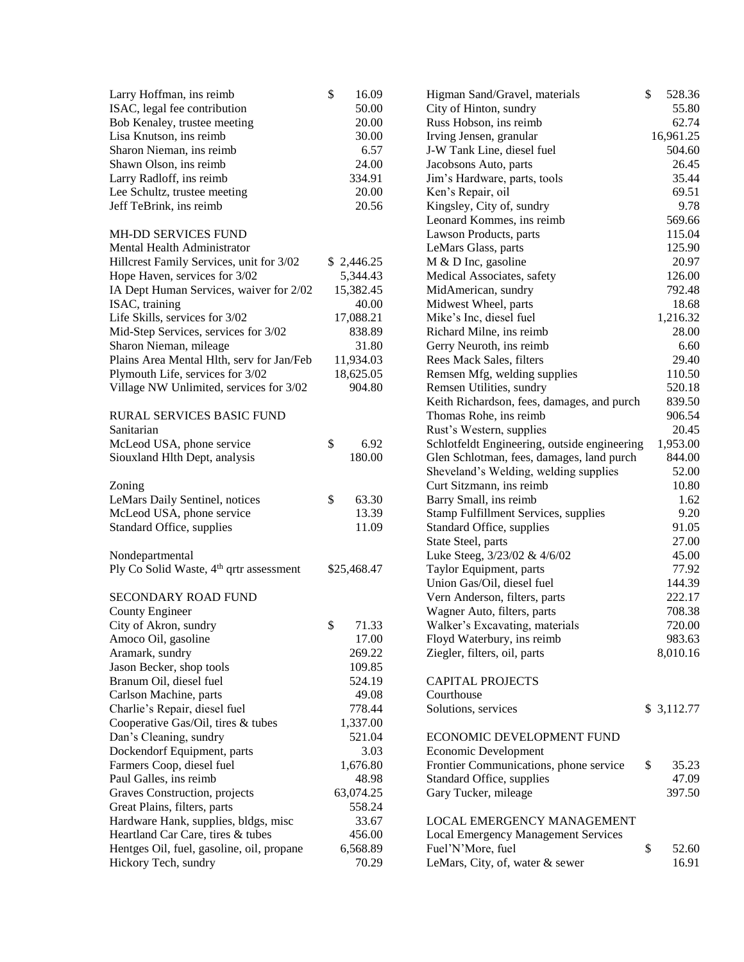| Larry Hoffman, ins reimb                            | \$<br>16.09 | Higman Sand/Gravel, materials                                | \$<br>528.36 |
|-----------------------------------------------------|-------------|--------------------------------------------------------------|--------------|
| ISAC, legal fee contribution                        | 50.00       | City of Hinton, sundry                                       | 55.80        |
| Bob Kenaley, trustee meeting                        | 20.00       | Russ Hobson, ins reimb                                       | 62.74        |
| Lisa Knutson, ins reimb                             | 30.00       | Irving Jensen, granular                                      | 16,961.25    |
| Sharon Nieman, ins reimb                            | 6.57        | J-W Tank Line, diesel fuel                                   | 504.60       |
| Shawn Olson, ins reimb                              | 24.00       | Jacobsons Auto, parts                                        | 26.45        |
| Larry Radloff, ins reimb                            | 334.91      | Jim's Hardware, parts, tools                                 | 35.44        |
| Lee Schultz, trustee meeting                        | 20.00       | Ken's Repair, oil                                            | 69.51        |
| Jeff TeBrink, ins reimb                             | 20.56       | Kingsley, City of, sundry                                    | 9.78         |
|                                                     |             | Leonard Kommes, ins reimb                                    | 569.66       |
| MH-DD SERVICES FUND                                 |             | Lawson Products, parts                                       | 115.04       |
| Mental Health Administrator                         |             | LeMars Glass, parts                                          | 125.90       |
| Hillcrest Family Services, unit for 3/02            | \$2,446.25  | $M & D$ Inc, gasoline                                        | 20.97        |
| Hope Haven, services for 3/02                       | 5,344.43    | Medical Associates, safety                                   | 126.00       |
| IA Dept Human Services, waiver for 2/02             | 15,382.45   | MidAmerican, sundry                                          | 792.48       |
| ISAC, training                                      | 40.00       | Midwest Wheel, parts                                         | 18.68        |
| Life Skills, services for 3/02                      | 17,088.21   | Mike's Inc, diesel fuel                                      | 1,216.32     |
| Mid-Step Services, services for 3/02                | 838.89      | Richard Milne, ins reimb                                     | 28.00        |
| Sharon Nieman, mileage                              | 31.80       | Gerry Neuroth, ins reimb                                     | 6.60         |
| Plains Area Mental Hlth, serv for Jan/Feb           | 11,934.03   | Rees Mack Sales, filters                                     | 29.40        |
| Plymouth Life, services for 3/02                    | 18,625.05   | Remsen Mfg, welding supplies                                 | 110.50       |
| Village NW Unlimited, services for 3/02             | 904.80      | Remsen Utilities, sundry                                     | 520.18       |
|                                                     |             | Keith Richardson, fees, damages, and purch                   | 839.50       |
| <b>RURAL SERVICES BASIC FUND</b>                    |             | Thomas Rohe, ins reimb                                       | 906.54       |
| Sanitarian                                          |             | Rust's Western, supplies                                     | 20.45        |
| McLeod USA, phone service                           | \$<br>6.92  | Schlotfeldt Engineering, outside engineering                 | 1,953.00     |
| Siouxland Hlth Dept, analysis                       | 180.00      | Glen Schlotman, fees, damages, land purch                    | 844.00       |
|                                                     |             | Sheveland's Welding, welding supplies                        | 52.00        |
| Zoning                                              |             | Curt Sitzmann, ins reimb                                     | 10.80        |
| LeMars Daily Sentinel, notices                      | \$<br>63.30 | Barry Small, ins reimb                                       | 1.62         |
| McLeod USA, phone service                           | 13.39       | <b>Stamp Fulfillment Services, supplies</b>                  | 9.20         |
| Standard Office, supplies                           | 11.09       | Standard Office, supplies                                    | 91.05        |
|                                                     |             | State Steel, parts                                           | 27.00        |
| Nondepartmental                                     |             | Luke Steeg, 3/23/02 & 4/6/02                                 | 45.00        |
| Ply Co Solid Waste, 4 <sup>th</sup> qrtr assessment | \$25,468.47 | Taylor Equipment, parts                                      | 77.92        |
|                                                     |             | Union Gas/Oil, diesel fuel                                   | 144.39       |
| SECONDARY ROAD FUND                                 |             | Vern Anderson, filters, parts                                | 222.17       |
|                                                     |             |                                                              | 708.38       |
| <b>County Engineer</b>                              | \$<br>71.33 | Wagner Auto, filters, parts                                  | 720.00       |
| City of Akron, sundry<br>Amoco Oil, gasoline        | 17.00       | Walker's Excavating, materials<br>Floyd Waterbury, ins reimb | 983.63       |
|                                                     | 269.22      | Ziegler, filters, oil, parts                                 | 8,010.16     |
| Aramark, sundry                                     | 109.85      |                                                              |              |
| Jason Becker, shop tools                            |             |                                                              |              |
| Branum Oil, diesel fuel                             | 524.19      | <b>CAPITAL PROJECTS</b>                                      |              |
| Carlson Machine, parts                              | 49.08       | Courthouse                                                   |              |
| Charlie's Repair, diesel fuel                       | 778.44      | Solutions, services                                          | \$3,112.77   |
| Cooperative Gas/Oil, tires & tubes                  | 1,337.00    |                                                              |              |
| Dan's Cleaning, sundry                              | 521.04      | ECONOMIC DEVELOPMENT FUND                                    |              |
| Dockendorf Equipment, parts                         | 3.03        | Economic Development                                         |              |
| Farmers Coop, diesel fuel                           | 1,676.80    | Frontier Communications, phone service                       | \$<br>35.23  |
| Paul Galles, ins reimb                              | 48.98       | Standard Office, supplies                                    | 47.09        |
| Graves Construction, projects                       | 63,074.25   | Gary Tucker, mileage                                         | 397.50       |
| Great Plains, filters, parts                        | 558.24      |                                                              |              |
| Hardware Hank, supplies, bldgs, misc                | 33.67       | LOCAL EMERGENCY MANAGEMENT                                   |              |
| Heartland Car Care, tires & tubes                   | 456.00      | <b>Local Emergency Management Services</b>                   |              |
| Hentges Oil, fuel, gasoline, oil, propane           | 6,568.89    | Fuel'N'More, fuel                                            | \$<br>52.60  |
| Hickory Tech, sundry                                | 70.29       | LeMars, City, of, water & sewer                              | 16.91        |